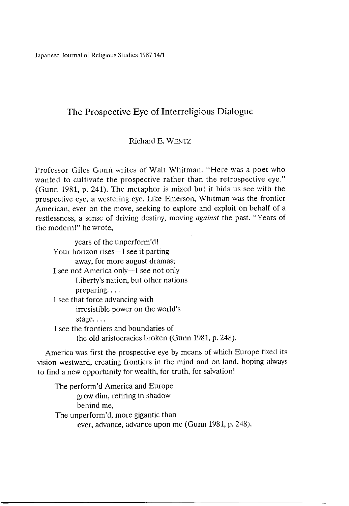Japanese Journal of Religious Studies 1987 14/1

# The Prospective Eye of Interreligious Dialogue

Richard E. WENTZ

Professor Giles Gunn writes of Walt Whitman: "Here was a poet who wanted to cultivate the prospective rather than the retrospective *eye."* (Gunn 1981, p. 241). The metaphor is mixed but it bids us see with the prospective eye, a westering eye. Like Emerson, Whitman was the frontier American, ever on the move, seeking to explore and exploit on behalf of a restlessness, a sense of driving destiny, moving *against* the past. "Years of the modern!" he wrote,

| years of the unperform'd!                         |  |
|---------------------------------------------------|--|
| Your horizon rises $-I$ see it parting            |  |
| away, for more august dramas;                     |  |
| I see not America only-I see not only             |  |
| Liberty's nation, but other nations               |  |
| preparing                                         |  |
| I see that force advancing with                   |  |
| irresistible power on the world's                 |  |
| stage                                             |  |
| I see the frontiers and boundaries of             |  |
| the old aristocracies broken (Gunn 1981, p. 248). |  |

America was first the prospective eye by means of which Europe fixed its vision westward, creating frontiers in the mind and on land, hoping always to find a new opportunity for wealth, for truth, for salvation!

The perform'd America and Europe grow dim, retiring in shadow behind me, The unperform'd, more gigantic than ever, advance, advance upon me (Gunn 1981, p. 248).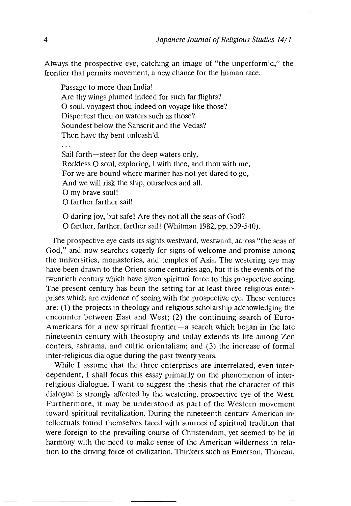Always the prospective eye, catching an image of "the unperform'd," the frontier that permits movement, a new chance for the human race.

Passage to more than India! Are thy wings plumed indeed for such far flights? O soul, voyagest thou indeed on voyage like those? Disportest thou on waters such as those? Soundest below the Sanscrit and the Vedas? Then have thy bent unleash'd.  $\ddotsc$ 

Sail forth—steer for the deep waters only, Reckless  $O$  soul, exploring, I with thee, and thou with me, For we are bound where mariner has not yet dared to go, And we will risk the ship, ourselves and all. O my brave soul! O farther farther sail!

O daring joy, but safe! Are they not all the seas of God? O farther, farther, farther sail! (Whitman 1982, pp. 539-540).

The prospective eye casts its sights westward, westward, across "the seas of God," and now searches eagerly for signs of welcome and promise among the universities, monasteries, and temples of Asia. The westering eye may have been drawn to the Orient some centuries ago, but it is the events of the twentieth century which have given spiritual force to this prospective seeing. The present century has been the setting for at least three religious enterprises which are evidence of seeing with the prospective eye. These ventures are:  $(1)$  the projects in theology and religious scholarship acknowledging the encounter between East and West; (2) the continuing search of Euro-Americans for a new spiritual frontier—a search which began in the late nineteenth century with theosophy and today extends its life among Zen centers, ashrams, and cultic orientalism; and (3) the increase of formal inter-religious dialogue during the past twenty years.

While I assume that the three enterprises are interrelated, even interdependent, I shall focus this essay primarily on the phenomenon of interreligious dialogue. I want to suggest the thesis that the character of this dialogue is strongly affected by the westering, prospective eye of the West. Furthermore, it may be understood as part of the Western movement toward spiritual revitalization. During the nineteenth century American intellectuals found themselves faced with sources of spiritual tradition that were foreign to the prevailing course of Christendom, yet seemed to be in harmony with the need to make sense of the American wilderness in relation to the driving force of civilization. Thinkers such as Emerson, Thoreau,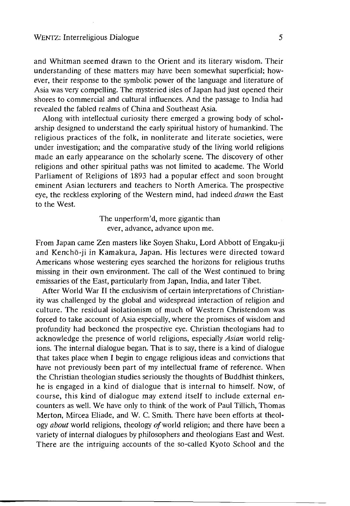#### WENTZ: Interreligious Dialogue 5

and Whitman seemed drawn to the Orient and its literary wisdom. Their understanding of these matters may have been somewhat superficial; however, their response to the symbolic power of the language and literature of Asia was very compelling. The mysteried isles of Japan had just opened their shores to commercial and cultural influences. And the passage to India had revealed the fabled realms of China and Southeast Asia.

Along with intellectual curiosity there emerged a growing body of scholarship designed to understand the early spiritual history of humankind. The religious practices of the folk, in nonliterate and literate societies, were under investigation; and the comparative study of the living world religions made an early appearance on the scholarly scene. The discovery of other religions and other spiritual paths was not limited to academe. The World Parliament of Religions of 1893 had a popular effect and soon brought eminent Asian lecturers and teachers to North America. The prospective eye, the reckless exploring of the Western mind, had indeed *drawn* the East to the West.

> The unperform'd, more gigantic than ever, advance, advance upon me.

From Japan came Zen masters like Soyen Shaku, Lord Abbott of Engaku-ji and Kenchō-ji in Kamakura, Japan. His lectures were directed toward Americans whose westering eyes searched the horizons for religious truths missing in their own environment. The call of the West continued to bring emissaries of the East, particularly from Japan, India, and later Tibet.

After World War II the exclusivism of certain interpretations of Christianity was challenged by the global and widespread interaction of religion and culture. The residual isolationism of much of Western Christendom was forced to take account of Asia especially, where the promises of wisdom and profundity had beckoned the prospective eye. Christian theologians had to acknowledge the presence of world religions, especially *Asian* world religions. The internal dialogue began. That is to say, there is a kind of dialogue that takes place when I begin to engage religious ideas and convictions that have not previously been part of my intellectual frame of reference. When the Christian theologian studies seriously the thoughts of Buddhist thinkers, he is engaged in a kind of dialogue that is internal to himself. Now, of course, this kind of dialogue may extend itself to include external encounters as well. We have only to think of the work of Paul Tillich, Thomas Merton, Mircea Eliade, and W. C. Smith. There have been efforts at theology *about* world religions, theology of world religion; and there have been a variety of internal dialogues by philosophers and theologians East and West. There are the intriguing accounts of the so-called Kyoto School and the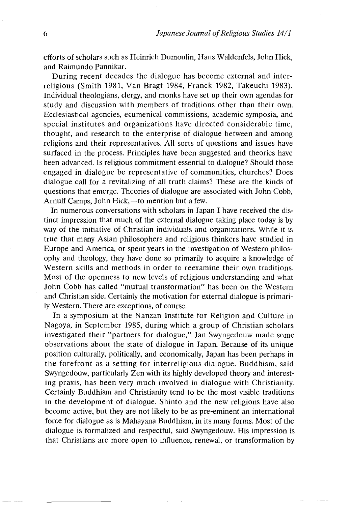efforts of scholars such as Heinrich Dumoulin, Hans Waldenfels, John Hick, and Raimundo Pannikar.

During recent decades the dialogue has become external and interreligious (Smith 1981, Van Bragt 1984, Franck 1982, Takeuchi 1983). Individual theologians, clergy, and monks have set up their own agendas for study and discussion with members of traditions other than their own. Ecclesiastical agencies, ecumenical commissions, academic symposia, and special institutes and organizations have directed considerable time, thought, and research to the enterprise of dialogue between and among religions and their representatives. All sorts of questions and issues have surfaced in the process. Principles have been suggested and theories have been advanced. Is religious commitment essential to dialogue? Should those engaged in dialogue be representative of communities, churches? Does dialogue call for a revitalizing of all truth claims? These are the kinds of questions that emerge. Theories of dialogue are associated with John Cobb, Arnulf Camps, John Hick,—to mention but a few.

In numerous conversations with scholars in Japan I have received the distinct impression that much of the external dialogue taking place today is by way of the initiative of Christian individuals and organizations. While it is true that many Asian philosophers and religious thinkers have studied in Europe and America, or spent years in the investigation of Western philosophy and theology, they have done so primarily to acquire a knowledge of Western skills and methods in order to reexamine their own traditions. Most of the openness to new levels of religious understanding and what John Cobb has called "mutual transformation" has been on the Western and Christian side. Certainly the motivation for external dialogue is primarily Western. There are exceptions, of course.

In a symposium at the Nanzan Institute for Religion and Culture in Nagoya, in September 1985, during which a group of Christian scholars investigated their ''partners for dialogue," Jan Swyngedouw made some observations about the state of dialogue in Japan. Because of its unique position culturally, politically, and economically, Japan has been perhaps in the forefront as a setting for interreligious dialogue. Buddhism, said Swyngedouw, particularly Zen with its highly developed theory and interesting praxis, has been very much involved in dialogue with Christianity. Certainly Buddhism and Christianity tend to be the most visible traditions in the development of dialogue. Shinto and the new religions have also become active, but they are not likely to be as pre-eminent an international force for dialogue as is Mahayana Buddhism, in its many forms. Most of the dialogue is formalized and respectful, said Swyngedouw. His impression is that Christians are more open to influence, renewal, or transformation by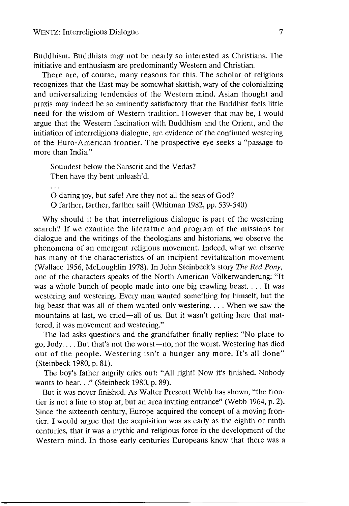Buddhism. Buddhists may not be nearly so interested as Christians. The initiative and enthusiasm are predominantly Western and Christian.

There are, of course, many reasons for this. The scholar of religions recognizes that the East may be somewhat skittish, wary of the colonializing and universalizing tendencies of the Western mind. Asian thought and praxis may indeed be so eminently satisfactory that the Buddhist feels little need for the wisdom of Western tradition. However that may be, I would argue that the Western fascination with Buddhism and the Orient, and the initiation of interreligious dialogue, are evidence of the continued westering of the Euro-American frontier. The prospective eye seeks a "passage to more than India."

Soundest below the Sanscrit and the Vedas? Then have thy bent unleash'd.  $\ddotsc$ O daring joy, but safe! Are they not all the seas of God? O farther, farther, farther sail! (Whitman 1982, pp. 539-540)

Why should it be that interreligious dialogue is part of the westering search? If we examine the literature and program of the missions for dialogue and the writings of the theologians and historians, we observe the phenomena of an emergent religious movement. Indeed, what we observe has many of the characteristics of an incipient revitalization movement (Wallace 1956, McLoughlin 1978). In John Steinbeck's story *The Red Pony*, one of the characters speaks of the North American Völkerwanderung: "It was a whole bunch of people made into one big crawling beast.. … It was westering and westering. Every man wanted something for himself, but the big beast that was all of them wanted only westering. . . . When we saw the mountains at last, we cried—all of us. But it wasn't getting here that mattered, it was movement and westering."

The lad asks questions and the grandfather finally replies: "No place to go,Jody\_\_\_But that's not the worst—no, not the worst. Westering has died out of the people. Westering isn't a hunger any more. It's all done" (Steinbeck 1980, p. 81).

The boy's father angrily cries out: "All right! Now it's finished. Nobody wants to hear..." (Steinbeck 1980, p. 89).

But it was never finished. As Walter Prescott Webb has shown, "the frontier is not a line to stop at, but an area inviting entrance" (Webb 1964, p. 2). Since the sixteenth century, Europe acquired the concept of a moving frontier. I would argue that the acquisition was as early as the eighth or ninth centuries, that it was a mythic and religious force in the development of the Western mind. In those early centuries Europeans knew that there was a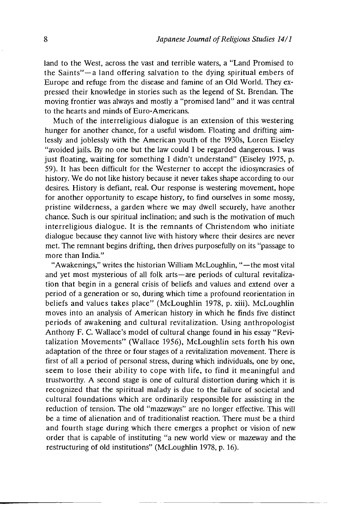land to the West, across the vast and terrible waters, a "Land Promised to the Saints"-a land offering salvation to the dying spiritual embers of Europe and refuge from the disease and famine of an Old World. They expressed their knowledge in stories such as the legend of St. Brendan. The moving frontier was always and mostly a "promised land" and it was central to the hearts and minds of Euro-Americans.

Much of the interreligious dialogue is an extension of this westering hunger for another chance, for a useful wisdom. Floating and drifting aimlessly and joblessly with the American youth of the 1930s, Loren Eiseley "avoided jails. By no one but the law could I be regarded dangerous. I was just floating, waiting for something I didn't understand" (Eiseley 1975, p. 59). It has been difficult for the Westerner to accept the idiosyncrasies of history. We do not like history because it never takes shape according to our desires. History is defiant, real. Our response is westering movement, hope for another opportunity to escape history, to find ourselves in some mossy, pristine wilderness, a garden where we may dwell securely, have another chance. Such is our spiritual inclination; and such is the motivation of much interreligious dialogue. It is the remnants of Christendom who initiate dialogue because they cannot live with history where their desires are never met. The remnant begins drifting, then drives purposefully on its "passage to more than India."

"Awakenings," writes the historian William McLoughlin, "—the most vital and yet most mysterious of all folk arts—are periods of cultural revitalization that begin in a general crisis of beliefs and values and extend over a period of a generation or so, during which time a profound reorientation in beliefs and values takes place" (McLoughlin 1978, p. xiii). McLoughlin moves into an analysis of American history in which he finds five distinct periods of awakening and cultural revitalization. Using anthropologist Anthony F. C. Wallace's model of cultural change found in his essay "Revitalization Movements" (Wallace 1956), McLoughlin sets forth his own adaptation of the three or four stages of a revitalization movement. There is first of all a period of personal stress, during which individuals, one by one, seem to lose their ability to cope with life, to find it meaningful and trustworthy. A second stage is one of cultural distortion during which it is recognized that the spiritual malady is due to the failure of societal and cultural foundations which are ordinarily responsible for assisting in the reduction of tension. The old "mazeways" are no longer effective. This will be a time of alienation and of traditionalist reaction. There must be a third and fourth stage during which there emerges a prophet or vision of new order that is capable of instituting "a new world view or mazeway and the restructuring of old institutions" (McLoughlin 1978, p. 16).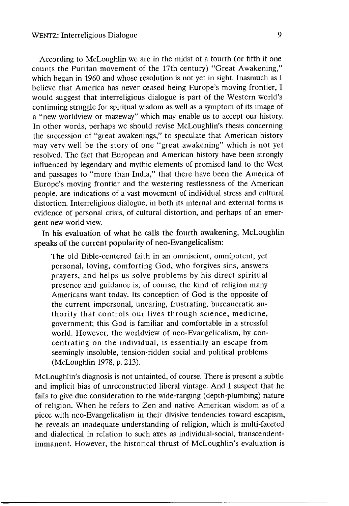According to McLoughlin we are in the midst of a fourth (or fifth if one counts the Puritan movement of the 17th century) "Great Awakening," which began in 1960 and whose resolution is not yet in sight. Inasmuch as I believe that America has never ceased being Europe's moving frontier, I would suggest that interreligious dialogue is part of the Western world's continuing struggle for spiritual wisdom as well as a symptom of its image of a "new worldview or mazeway" which may enable us to accept our history. In other words, perhaps we should revise McLoughlin's thesis concerning the succession of "great awakenings," to speculate that American history may very well be the story of one "great awakening" which is not yet resolved. The fact that European and American history have been strongly influenced by legendary and mythic elements of promised land to the West and passages to "more than India," that there have been the America of Europe's moving frontier and the westering restlessness of the American people, are indications of a vast movement of individual stress and cultural distortion. Interreligious dialogue, in both its internal and external forms is evidence of personal crisis, of cultural distortion, and perhaps of an emergent new world view.

In his evaluation of what he calls the fourth awakening, McLoughlin speaks of the current popularity of neo-Evangelicalism:

The old Bible-centered faith in an omniscient, omnipotent, yet personal, loving, comforting God, who forgives sins, answers prayers, and helps us solve problems by his direct spiritual presence and guidance is, of course, the kind of religion many Americans want today. Its conception of God is the opposite of the current impersonal, uncaring, frustrating, bureaucratic authority that controls our lives through science, medicine, government; this God is familiar and comfortable in a stressful world. However, the worldview of neo-Evangelicalism, by concentrating on the individual, is essentially an escape from seemingly insoluble, tension-ridden social and political problems (McLoughlin 1978, p. 213).

McLoughlin's diagnosis is not untainted, of course. There is present a subtle and implicit bias of unreconstructed liberal vintage. And I suspect that he fails to give due consideration to the wide-ranging (depth-plumbing) nature of religion. When he refers to Zen and native American wisdom as of a piece with neo-Evangelicalism in their divisive tendencies toward escapism, he reveals an inadequate understanding of religion, which is multi-faceted and dialectical in relation to such axes as individual-social, transcendentimmanent. However, the historical thrust of McLoughlin's evaluation is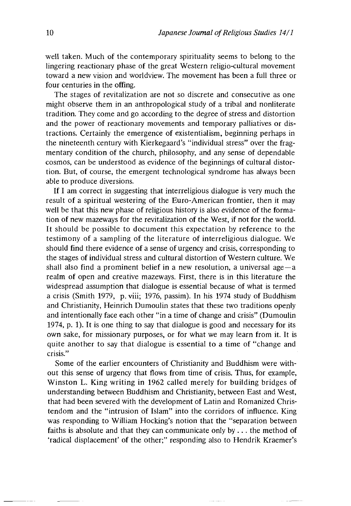well taken. Much of the contemporary spirituality seems to belong to the lingering reactionary phase of the great Western religio-cultural movement toward a new vision and worldview. The movement has been a full three or four centuries in the offing.

The stages of revitalization are not so discrete and consecutive as one might observe them in an anthropological study of a tribal and nonliterate tradition. They come and go according to the degree of stress and distortion and the power of reactionary movements and temporary palliatives or distractions. Certainly the emergence of existentialism, beginning perhaps in the nineteenth century with Kierkegaard's "individual stress" over the fragmentary condition of the church, philosophy, and any sense of dependable cosmos, can be understood as evidence of the beginnings of cultural distortion. But, of course, the emergent technological syndrome has always been able to produce diversions.

If I am correct in suggesting that interreligious dialogue is very much the result of a spiritual westering of the Euro-American frontier, then it may well be that this new phase of religious history is also evidence of the formation of new mazeways for the revitalization of the West, if not for the world. It should be possible to document this expectation by reference to the testimony of a sampling of the literature of interreligious dialogue. We should find there evidence of a sense of urgency and crisis, corresponding to the stages of individual stress and cultural distortion of Western culture. We shall also find a prominent belief in a new resolution, a universal age $-a$ realm of open and creative mazeways. First, there is in this literature the widespread assumption that dialogue is essential because of what is termed a crisis (Smith 1979, p. viii; 1976, passim). In his 1974 study of Buddhism and Christianity, Heinrich Dumoulin states that these two traditions openly and intentionally face each other "in a time of change and crisis" (Dumoulin 1974, p. 1). It is one thing to say that dialogue is good and necessary for its own sake, for missionary purposes, or for what we may learn from it. It is quite another to say that dialogue is essential to a time of "change and crisis."

Some of the earlier encounters of Christianity and Buddhism were without this sense of urgency that flows from time of crisis. Thus, for example, Winston L. King writing in 1962 called merely for building bridges of understanding between Buddhism and Christianity, between East and West, that had been severed with the development of Latin and Romanized Christendom and the "intrusion of Islam" into the corridors of influence. King was responding to William Hocking's notion that the "separation between faiths is absolute and that they can communicate only by ... the method of 'radical displacement' of the other;" responding also to Hendrik Kraemer's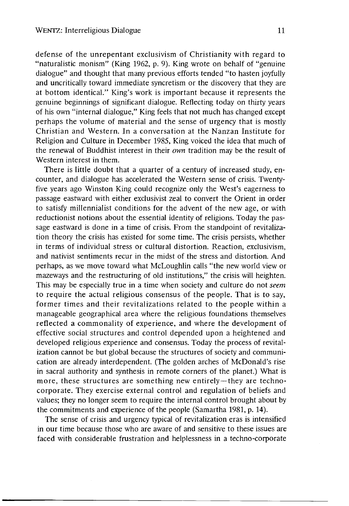defense of the unrepentant exclusivism of Christianity with regard to "naturalistic monism" (King 1962, p. 9). King wrote on behalf of "genuine dialogue" and thought that many previous efforts tended "to hasten joyfully and uncritically toward immediate syncretism or the discovery that they are at bottom identical." King's work is important because it represents the genuine beginnings of significant dialogue. Reflecting today on thirty years of his own "internal dialogue," King feels that not much has changed except perhaps the volume of material and the sense of urgency that is mostly Christian and Western. In a conversation at the Nanzan Institute for Religion and Culture in December 1985,King voiced the idea that much of the renewal of Buddhist interest in their *own* tradition may be the result of Western interest in them.

There is little doubt that a quarter of a century of increased study, encounter, and dialogue has accelerated the Western sense of crisis. Twentyfive years ago Winston King could recognize only the West's eagerness to passage eastward with either exclusivist zeal to convert the Orient in order to satisfy millennialist conditions for the advent of the new age, or with reductionist notions about the essential identity of religions. Today the passage eastward is done in a time of crisis. From the standpoint of revitalization theory the crisis has existed for some time. The crisis persists, whether in terms of individual stress or cultural distortion. Reaction, exclusivism, and nativist sentiments recur in the midst of the stress and distortion. And perhaps, as we move toward what McLoughlin calls "the new world view or mazeways and the restructuring of old institutions," the crisis will heighten. This may be especially true in a time when society and culture do not *seem* to require the actual religious consensus of the people. That is to say, former times and their revitalizations related to the people within a manageable geographical area where the religious foundations themselves reflected a commonality of experience, and where the development of effective social structures and control depended upon a heightened and developed religious experience and consensus. Today the process of revitalization cannot be but global because the structures of society and communication are already interdependent. (The golden arches of McDonald's rise in sacral authority and synthesis in remote corners of the planet.) What is more, these structures are something new entirely—they are technocorporate. They exercise external control and regulation of beliefs and values; they no longer seem to require the internal control brought about by the commitments and experience of the people (Samartha 1981, p. 14).

The sense of crisis and urgency typical of revitalization eras is intensified in our time because those who are aware of and sensitive to these issues are faced with considerable frustration and helplessness in a techno-corporate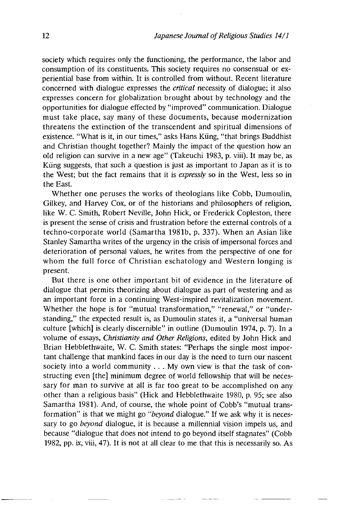society which requires only the functioning, the performance, the labor and consumption of its constituents. This society requires no consensual or experiential base from within. It is controlled from without. Recent literature concerned with dialogue expresses the *critical* necessity of dialogue; it also expresses concern for globalization brought about by technology and the opportunities for dialogue effected by "improved" communication. Dialogue must take place, say many of these documents, because modernization threatens the extinction of the transcendent and spiritual dimensions of existence. "What is it, in our times," asks Hans Kiing, "that brings Buddhist and Christian thought together? Mainly the impact of the question how an old religion can survive in a new age" (Takeuchi 1983 p. viii). It may be, as Kiing suggests, that such a question is just as important to Japan as it is to the West; but the fact remains that it is *expressly* so in the West, less so in the East.

Whether one peruses the works of theologians like Cobb, Dumoulin, Gilkey, and Harvey Cox, or of the historians and philosophers of religion, like W. C. Smith, Robert Neville, John Hick, or Frederick Copleston, there is present the sense of crisis and frustration before the external controls of a techno-corporate world (Samartha 1981b, p. 337). When an Asian like Stanley Samartha writes of the urgency in the crisis of impersonal forces and deterioration of personal values, he writes from the perspective of one for whom the full force of Christian eschatology and Western longing is present.

But there is one other important bit of evidence in the literature of dialogue that permits theorizing about dialogue as part of westering and as an important force in a continuing West-inspired revitalization movement. Whether the hope is for ''mutual transformation," "renewal," or "understanding," the expected result is, as Dumoulin states it, a "universal human culture [which] is clearly discernible" in outline (Dumoulin 1974 p. 7). In a volume of essays, *Christianity and Other Religions,* edited by John Hick and Brian Hebblethwaite, W. C. Smith states: "Perhaps the single most important challenge that mankind faces in our day is the need to turn our nascent society into a world community  $\ldots$  My own view is that the task of constructing even [the] minimum degree of world fellowship that will be necessary for man to survive at all is far too great to be accomplished on any other than a religious basis" (Hick and Hebblethwaite 1980, p. 95; see also Samartha 1981). And, of course, the whole point of Cobb's "mutual transformation" is that we might go *"beyond* dialogue." If we ask why it is necessary to go *beyond* dialogue, it is because a millennial vision impels us, and because "dialogue that does not intend to go beyond itself stagnates" (Cobb 1982, pp. ix, viii, 47). It is not at all clear to me that this is necessarily so. As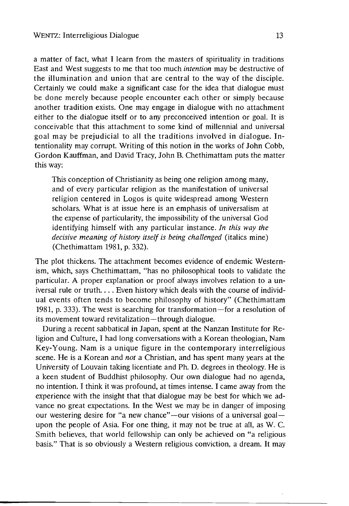a matter of fact, what I learn from the masters of spirituality in traditions East and West suggests to me that too much *intention* may be destructive of the illumination and union that are central to the way of the disciple. Certainly we could make a significant case for the idea that dialogue must be done merely because people encounter each other or simply because another tradition exists. One may engage in dialogue with no attachment either to the dialogue itself or to any preconceived intention or goal. It is conceivable that this attachment to some kind of millennial and universal goal may be prejudicial to all the traditions involved in dialogue. Intentionality may corrupt. Writing of this notion in the works of John Cobb, Gordon Kauffman, and David Tracy, John B. Chethimattam puts the matter this way:

This conception of Christianity as being one religion among many, and of every particular religion as the manifestation of universal religion centered in Logos is quite widespread among Western scholars. What is at issue here is an emphasis of universalism at the expense of particularity, the impossibility of the universal God identifying himself with any particular instance. *In this way the decisive meaning of history itself is being challenged* (italics mine) (Chethimattam 1981, p. 332).

The plot thickens. The attachment becomes evidence of endemic Westernism, which, says Chethimattam, "has no philosophical tools to validate the particular. A proper explanation or proof always involves relation to a universal rule or truth.... Even history which deals with the course of individual events often tends to become philosophy of history" (Chethimattam 1981, p. 333). The west is searching for transformation—for a resolution of its movement toward revitalization—through dialogue.

During a recent sabbatical in Japan, spent at the Nanzan Institute for Religion and Culture, I had long conversations with a Korean theologian, Nam Key-Young. Nam is a unique figure in the contemporary interreligious scene. He is a Korean and *not* a Christian, and has spent many years at the University of Louvain taking licentiate and Ph. D. degrees in theology. He is a keen student of Buddhist philosophy. Our own dialogue had no agenda, no intention. I think it was profound, at times intense. I came away from the experience with the insight that that dialogue may be best for which we advance no great expectations. In the West we may be in danger of imposing our westering desire for "a new chance"—our visions of a universal goal upon the people of Asia. For one thing, it may not be true at all, as W. C. Smith believes, that world fellowship can only be achieved on "a religious basis." That is so obviously a Western religious conviction, a dream. It may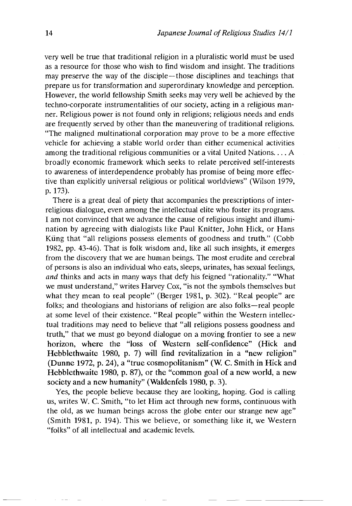very well be true that traditional religion in a pluralistic world must be used as a resource for those who wish to find wisdom and insight. The traditions may preserve the way of the disciple—those disciplines and teachings that prepare us for transformation and superordinary knowledge and perception. However, the world fellowship Smith seeks may very well be achieved by the techno-corporate instrumentalities of our society, acting in a religious manner. Religious power is not found only in religions; religious needs and ends are frequently served by other than the maneuvering of traditional religions. "The maligned multinational corporation may prove to be a more effective vehicle for achieving a stable world order than either ecumenical activities among the traditional religious communities or a vital United Nations...  $A$ broadly economic framework which seeks to relate perceived self-interests to awareness of interdependence probably has promise of being more effective than explicitly universal religious or political worldviews" (Wilson 1979, p. 173).

There is a great deal of piety that accompanies the prescriptions of interreligious dialogue, even among the intellectual elite who foster its programs. I am not convinced that we advance the cause of religious insight and illumination by agreeing with dialogists like Paul Knitter, John Hick, or Hans Kiing that "all religions possess elements of goodness and truth." (Cobb 1982, pp. 43-46). That is folk wisdom and, like all such insights, it emerges from the discovery that we are human beings. The most erudite and cerebral of persons is also an individual who eats, sleeps, urinates, has sexual feelings, and thinks and acts in many ways that defy his feigned "rationality." "What we must understand," writes Harvey Cox, "is not the symbols themselves but what they mean to real people" (Berger 1981, p. 302). "Real people" are folks; and theologians and historians of religion are also folks—real people at some level of their existence. "Real people" within the Western intellectual traditions may need to believe that "all religions possess goodness and truth," that we must go beyond dialogue on a moving frontier to see a new horizon, where the "loss of Western self-confidence" (Hick and Hebblethwaite 1980, p. 7) will find revitalization in a "new religion" (Dunne 1972, p. 24), a "true cosmopolitanism" (W. C. Smith in Hick and Hebblethwaite 1980, p. 87), or the "common goal of a new world, a new society and a new humanity" (Waldenfels 1980, p. 3).

Yes, the people believe because they are looking, hoping. God is calling us, writes W. *C.* Smith, "to let Him act through new forms, continuous with the old, as we human beings across the globe enter our strange new age" (Smith 1981, p. 194). This we believe, or something like it, we Western "folks" of all intellectual and academic levels.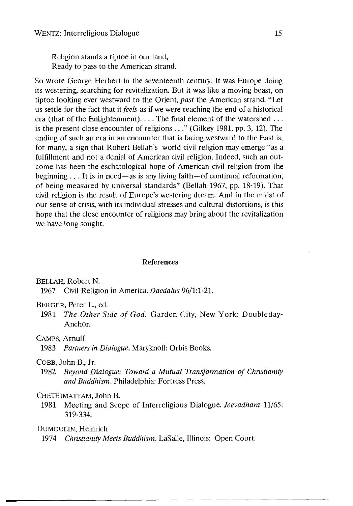Religion stands a tiptoe in our land, Ready to pass to the American strand.

So wrote George Herbert in the seventeenth century. It was Europe doing its westering, searching for revitalization. But it was like a moving beast, on tiptoe looking ever westward to the Orient, *past* the American strand. "Let us settle for the fact that *it feels* as if we were reaching the end of a historical era (that of the Enlightenment).. .. The final element of the watershed ... is the present close encounter of religions  $\ldots$ ," (Gilkey 1981, pp. 3, 12). The ending of such an era in an encounter that is facing westward to the East is, for many, a sign that Robert Bellah's world civil religion may emerge "as a fulfillment and not a denial of American civil religion. Indeed, such an outcome has been the eschatological hope of American civil religion from the beginning ... It is in need—as is any living faith—of continual reformation, of being measured by universal standards" (Bellah 1967 pp. 18-19). That civil religion is the result of Europe's westering dream. And in the midst of our sense of crisis, with its individual stresses and cultural distortions, is this hope that the close encounter of religions may bring about the revitalization we have long sought.

#### References

Bellah, Robert N.

1967 Civil Religion in America. *Daedalus* 96/1:1-21.

#### BERGER, Peter L., ed.

1981 *The Other Side of God.* Garden City, New York: Doubleday-Anchor.

#### Camps, Arnulf

1983 *Partners in Dialogue.* Maryknoll: Orbis Books.

## COBB, John B., Jr.

1982 *Beyond Dialogue: Toward a Mutual Transformation of Christianity and Buddhism.* Philadelphia: Fortress Press.

#### CHETHIMATTAM, John B.

1981 Meeting and Scope of Interreligious Dialogue. *Jeevadhara* 11/65: 319-334.

#### DUMOULIN, Heinrich

1974 *Christianity Meets Buddhism.* LaSalle, Illinois: Open Court.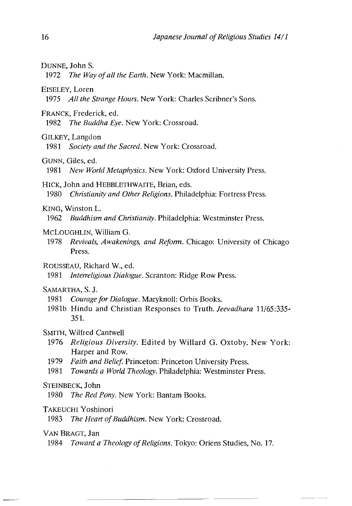DUNNE, John S.

1972 *The Way of all the Earth*、New York: Macmillan.

#### Eiseley, Loren

1975 *All the Strange Hours.* New York: Charles Scribner's Sons.

#### Franck, Frederick, ed.

1982 *The Buddha Eye.* New York: Crossroad.

#### GILKEY, Langdon

1981 *Society and the Sacred.* New York: Crossroad.

#### GUNN, Giles, ed.

1981 *New World Metaphysics.* New York: Oxford University Press.

# HICK, John and HEBBLETHWAITE, Brian, eds.

1980 *Christianity and Other Religions.* Philadelphia: Fortress Press.

# KING, Winston L.

1962 *Buddhism and Christianity.* Philadelphia: Westminster Press.

#### MCLOUGHLIN, William G.

1978 *Revivals, Awakenings, and Reform.* Chicago: University of Chicago Press.

# Rousseau, Richard W. ed.

1981 *Interreligious Dialogue.* Scranton: Ridge Row Press.

# Samartha, S. J.

- 1981 *Courage for Dialogue.* Maryknoll: Orbis Books.
- 1981b Hindu and Christian Responses to Truth. *Jeevadhara* 11/65:335 351.

## SMITH, Wilfred Cantwell

- 1976 *Religious Diversity.* Edited by Willard G. Oxtoby. New York: Harper and Row.
- 1979 *Faith and Belief.* Princeton: Princeton University Press.
- 1981 *Towards a World Theology.* Philadelphia: Westminster Press.

## Steinbeck, John

1980 *The Red Pony.* New York: Bantam Books.

# Takeuchi Yoshinori

1983 *The Heart of Buddhism.* New York: Crossroad.

## Van Bragt, Jan

1984 *Toward a Theology of Religions.* Tokyo: Oriens Studies, No.17.